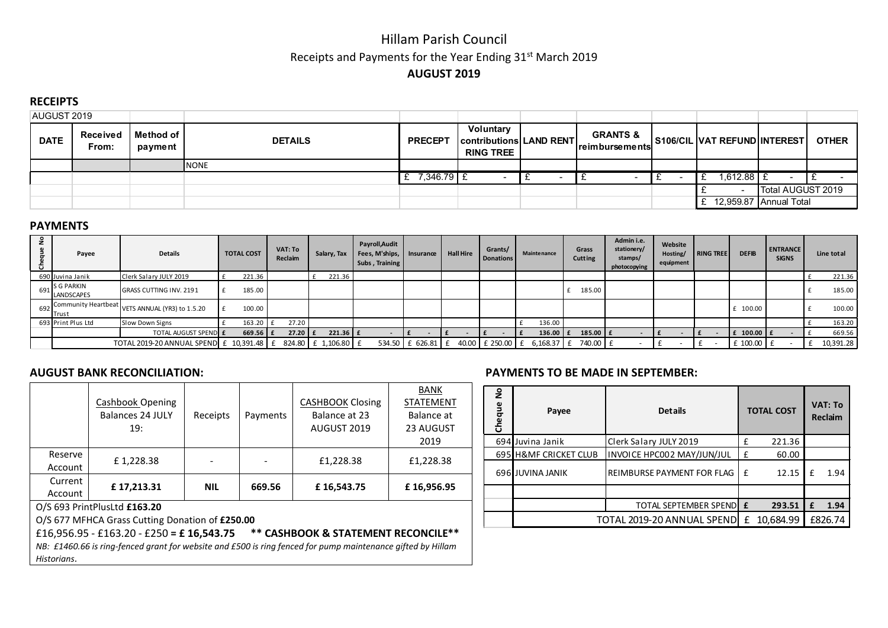# Hillam Parish Council Receipts and Payments for the Year Ending 31<sup>st</sup> March 2019 AUGUST 2019

## **RECEIPTS**

| AUGUST 2019 |                   |                      |                |                |                                                                 |                                                 |                              |                        |              |
|-------------|-------------------|----------------------|----------------|----------------|-----------------------------------------------------------------|-------------------------------------------------|------------------------------|------------------------|--------------|
| <b>DATE</b> | Received<br>From: | Method of<br>payment | <b>DETAILS</b> | <b>PRECEPT</b> | Voluntary<br><b>Contributions LAND RENT</b><br><b>RING TREE</b> | <b>GRANTS &amp;</b><br><u>l reimbursementsl</u> | S106/CIL VAT REFUND INTEREST |                        | <b>OTHER</b> |
|             |                   |                      | <b>INONE</b>   |                |                                                                 |                                                 |                              |                        |              |
|             |                   |                      |                | 7,346.79 E     |                                                                 |                                                 | $1,612.88$ $\pm$             |                        |              |
|             |                   |                      |                |                |                                                                 |                                                 |                              | Total AUGUST 2019      |              |
|             |                   |                      |                |                |                                                                 |                                                 |                              | 12,959.87 Annual Total |              |

## PAYMENTS

| Ō. | Payee                                    | <b>Details</b>                 | <b>TOTAL COST</b> |            | VAT: To<br><b>Reclaim</b> | Salary, Tax  | Payroll, Audit<br>Fees, M'ships,   Insurance<br>Subs, Training |                 | <b>Hall Hire</b> | Grants/<br><b>Donations</b> | <b>Maintenance</b> | Grass<br><b>Cutting</b> | Admin i.e.<br>stationery/<br>stamps/<br>photocopying | Website<br>Hosting/<br>equipment | <b>RING TREE</b> | <b>DEFIB</b>   | <b>ENTRANCE</b><br><b>SIGNS</b> | Line total |
|----|------------------------------------------|--------------------------------|-------------------|------------|---------------------------|--------------|----------------------------------------------------------------|-----------------|------------------|-----------------------------|--------------------|-------------------------|------------------------------------------------------|----------------------------------|------------------|----------------|---------------------------------|------------|
|    | 690 Juvina Janik                         | Clerk Salary JULY 2019         |                   | 221.36     |                           | 221.36       |                                                                |                 |                  |                             |                    |                         |                                                      |                                  |                  |                |                                 | 221.36     |
|    | 691 S G PARKIN<br><b>LANDSCAPES</b>      | <b>GRASS CUTTING INV. 2191</b> | 185.00            |            |                           |              |                                                                |                 |                  |                             |                    | 185.00                  |                                                      |                                  |                  |                |                                 | 185.00     |
|    | 692 Community Heartbeat  <br>Trust       | VETS ANNUAL (YR3) to 1.5.20    |                   | 100.00     |                           |              |                                                                |                 |                  |                             |                    |                         |                                                      |                                  |                  | £ 100.00       |                                 | 100.00     |
|    | 693 Print Plus Ltd                       | Slow Down Signs                | 163.20            |            | 27.20                     |              |                                                                |                 |                  |                             | 136.00             |                         |                                                      |                                  |                  |                |                                 | 163.20     |
|    |                                          | TOTAL AUGUST SPEND E           |                   | $669.56$ £ | $27.20$ $E$               | $221.36$ $E$ |                                                                |                 |                  |                             | 136.00 $E$         | 185.00 £                |                                                      |                                  |                  | $f$ 100.00 $f$ |                                 | 669.56     |
|    | TOTAL 2019-20 ANNUAL SPEND £ 10,391.48 £ |                                |                   |            | 824.80                    | £ 1,106.80   |                                                                | 534.50 £ 626.81 |                  | 40.00 £ 250.00 £            | $6,168.37$ £       | 740.00 £                |                                                      |                                  |                  | £ 100.00 £     |                                 | 10,391.28  |

|         |                              |            |          |                         | <b>BANK</b>      |  |  |  |  |  |  |  |
|---------|------------------------------|------------|----------|-------------------------|------------------|--|--|--|--|--|--|--|
|         | Cashbook Opening             |            |          | <b>CASHBOOK Closing</b> | <b>STATEMENT</b> |  |  |  |  |  |  |  |
|         | <b>Balances 24 JULY</b>      | Receipts   | Payments | Balance at 23           | Balance at       |  |  |  |  |  |  |  |
|         | 19:                          |            |          | AUGUST 2019             | 23 AUGUST        |  |  |  |  |  |  |  |
|         |                              |            |          |                         | 2019             |  |  |  |  |  |  |  |
| Reserve | £1,228.38                    |            |          | £1,228.38               | £1,228.38        |  |  |  |  |  |  |  |
| Account |                              |            |          |                         |                  |  |  |  |  |  |  |  |
| Current | £17,213.31                   | <b>NIL</b> | 669.56   | £16,543.75              | £16,956.95       |  |  |  |  |  |  |  |
| Account |                              |            |          |                         |                  |  |  |  |  |  |  |  |
|         | O/S 693 PrintPlusLtd £163.20 |            |          |                         |                  |  |  |  |  |  |  |  |

O/S 693 PrintPlusLtd £163.20

O/S 677 MFHCA Grass Cutting Donation of £250.00

£16,956.95 - £163.20 - £250 = £ 16,543.75 \*\* CASHBOOK & STATEMENT RECONCILE\*\*

*NB: £1460.66 is ring-fenced grant for website and £500 is ring fenced for pump maintenance gifted by Hillam Historians*.

## AUGUST BANK RECONCILIATION: PAYMENTS TO BE MADE IN SEPTEMBER:

| Cheque No | Payee                      | <b>Details</b>                 |           | <b>TOTAL COST</b> | VAT: To<br>Reclaim |      |  |
|-----------|----------------------------|--------------------------------|-----------|-------------------|--------------------|------|--|
|           | 694 Juvina Janik           | Clerk Salary JULY 2019         | f         | 221.36            |                    |      |  |
|           | 695 H&MF CRICKET CLUB      | INVOICE HPC002 MAY/JUN/JUL     | £         | 60.00             |                    |      |  |
|           | 696 JUVINA JANIK           | REIMBURSE PAYMENT FOR FLAG     | f         | 12.15             | f                  | 1.94 |  |
|           |                            |                                |           |                   |                    |      |  |
|           |                            | <b>TOTAL SEPTEMBER SPENDLE</b> |           | 293.51            | £                  | 1.94 |  |
|           | TOTAL 2019-20 ANNUAL SPEND | f                              | 10,684.99 |                   | £826.74            |      |  |